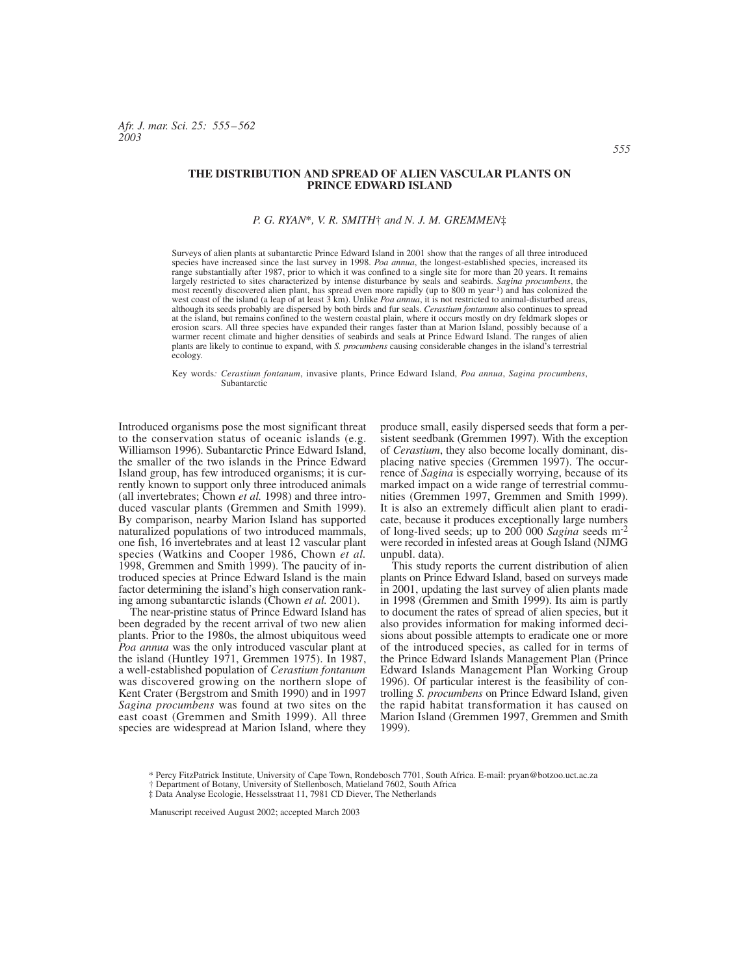*Afr. J. mar. Sci. 25: 555–562 2003*

## **THE DISTRIBUTION AND SPREAD OF ALIEN VASCULAR PLANTS ON PRINCE EDWARD ISLAND**

## *P. G. RYAN*\**, V. R. SMITH*† *and N. J. M. GREMMEN*‡

Surveys of alien plants at subantarctic Prince Edward Island in 2001 show that the ranges of all three introduced species have increased since the last survey in 1998. *Poa annua*, the longest-established species, increased its range substantially after 1987, prior to which it was confined to a single site for more than 20 years. It remains largely restricted to sites characterized by intense disturbance by seals and seabirds. Sagina procumbens, the<br>most recently discovered alien plant, has spread even more rapidly (up to 800 m year<sup>-1</sup>) and has colonized the at the island, but remains confined to the western coastal plain, where it occurs mostly on dry feldmark slopes or erosion scars. All three species have expanded their ranges faster than at Marion Island, possibly because of a warmer recent climate and higher densities of seabirds and seals at Prince Edward Island. The ranges of alien plants are likely to continue to expand, with *S. procumbens* causing considerable changes in the island's terrestrial ecology.

Key words*: Cerastium fontanum*, invasive plants, Prince Edward Island, *Poa annua*, *Sagina procumbens*, Subantarctic

Introduced organisms pose the most significant threat to the conservation status of oceanic islands (e.g. Williamson 1996). Subantarctic Prince Edward Island, the smaller of the two islands in the Prince Edward Island group, has few introduced organisms; it is currently known to support only three introduced animals (all invertebrates; Chown *et al.* 1998) and three introduced vascular plants (Gremmen and Smith 1999). By comparison, nearby Marion Island has supported naturalized populations of two introduced mammals, one fish, 16 invertebrates and at least 12 vascular plant species (Watkins and Cooper 1986, Chown *et al.* 1998, Gremmen and Smith 1999). The paucity of introduced species at Prince Edward Island is the main factor determining the island's high conservation ranking among subantarctic islands (Chown *et al.* 2001).

The near-pristine status of Prince Edward Island has been degraded by the recent arrival of two new alien plants. Prior to the 1980s, the almost ubiquitous weed *Poa annua* was the only introduced vascular plant at the island (Huntley 1971, Gremmen 1975). In 1987, a well-established population of *Cerastium fontanum* was discovered growing on the northern slope of Kent Crater (Bergstrom and Smith 1990) and in 1997 *Sagina procumbens* was found at two sites on the east coast (Gremmen and Smith 1999). All three species are widespread at Marion Island, where they

produce small, easily dispersed seeds that form a persistent seedbank (Gremmen 1997). With the exception of *Cerastium*, they also become locally dominant, displacing native species (Gremmen 1997). The occurrence of *Sagina* is especially worrying, because of its marked impact on a wide range of terrestrial communities (Gremmen 1997, Gremmen and Smith 1999). It is also an extremely difficult alien plant to eradicate, because it produces exceptionally large numbers of long-lived seeds; up to 200 000 *Sagina* seeds m-2 were recorded in infested areas at Gough Island (NJMG unpubl. data).

This study reports the current distribution of alien plants on Prince Edward Island, based on surveys made in 2001, updating the last survey of alien plants made in 1998 (Gremmen and Smith 1999). Its aim is partly to document the rates of spread of alien species, but it also provides information for making informed decisions about possible attempts to eradicate one or more of the introduced species, as called for in terms of the Prince Edward Islands Management Plan (Prince Edward Islands Management Plan Working Group 1996). Of particular interest is the feasibility of controlling *S. procumbens* on Prince Edward Island, given the rapid habitat transformation it has caused on Marion Island (Gremmen 1997, Gremmen and Smith 1999).

<sup>\*</sup> Percy FitzPatrick Institute, University of Cape Town, Rondebosch 7701, South Africa. E-mail: pryan@botzoo.uct.ac.za † Department of Botany, University of Stellenbosch, Matieland 7602, South Africa

<sup>‡</sup> Data Analyse Ecologie, Hesselsstraat 11, 7981 CD Diever, The Netherlands

Manuscript received August 2002; accepted March 2003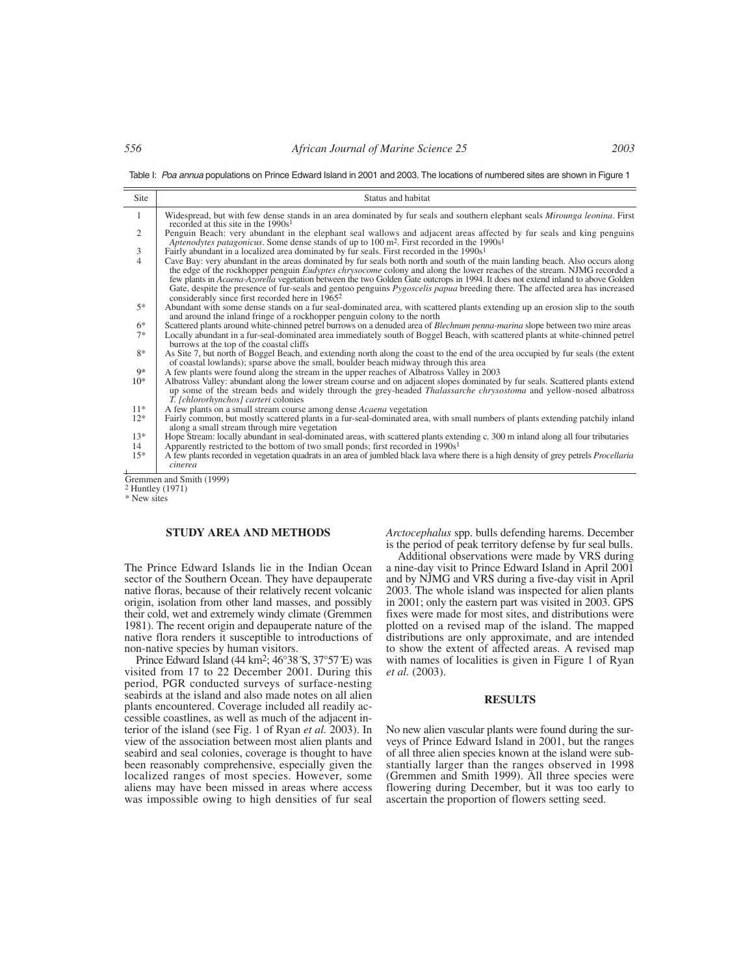Table I: Poa annua populations on Prince Edward Island in 2001 and 2003. The locations of numbered sites are shown in Figure 1

| Site           | Status and habitat                                                                                                                                                                                                                                                                                                                                                                                                                                                                                                                                                                                         |
|----------------|------------------------------------------------------------------------------------------------------------------------------------------------------------------------------------------------------------------------------------------------------------------------------------------------------------------------------------------------------------------------------------------------------------------------------------------------------------------------------------------------------------------------------------------------------------------------------------------------------------|
| 1              | Widespread, but with few dense stands in an area dominated by fur seals and southern elephant seals Mirounga leonina. First<br>recorded at this site in the $1990s1$                                                                                                                                                                                                                                                                                                                                                                                                                                       |
| 2              | Penguin Beach: very abundant in the elephant seal wallows and adjacent areas affected by fur seals and king penguins<br>Aptenodytes patagonicus. Some dense stands of up to $100 \text{ m}^2$ . First recorded in the $1990s1$                                                                                                                                                                                                                                                                                                                                                                             |
| 3              | Fairly abundant in a localized area dominated by fur seals. First recorded in the $1990s1$                                                                                                                                                                                                                                                                                                                                                                                                                                                                                                                 |
| $\overline{4}$ | Cave Bay: very abundant in the areas dominated by fur seals both north and south of the main landing beach. Also occurs along<br>the edge of the rockhopper penguin <i>Eudyptes chrysocome</i> colony and along the lower reaches of the stream. NJMG recorded a<br>few plants in Acaena-Azorella vegetation between the two Golden Gate outcrops in 1994. It does not extend inland to above Golden<br>Gate, despite the presence of fur-seals and gentoo penguins <i>Pygoscelis papua</i> breeding there. The affected area has increased<br>considerably since first recorded here in 1965 <sup>2</sup> |
| $5*$           | Abundant with some dense stands on a fur seal-dominated area, with scattered plants extending up an erosion slip to the south<br>and around the inland fringe of a rockhopper penguin colony to the north                                                                                                                                                                                                                                                                                                                                                                                                  |
| $6*$           | Scattered plants around white-chinned petrel burrows on a denuded area of Blechnum penna-marina slope between two mire areas                                                                                                                                                                                                                                                                                                                                                                                                                                                                               |
| $7*$           | Locally abundant in a fur-seal-dominated area immediately south of Boggel Beach, with scattered plants at white-chinned petrel<br>burrows at the top of the coastal cliffs                                                                                                                                                                                                                                                                                                                                                                                                                                 |
| $8*$           | As Site 7, but north of Boggel Beach, and extending north along the coast to the end of the area occupied by fur seals (the extent<br>of coastal lowlands); sparse above the small, boulder beach midway through this area                                                                                                                                                                                                                                                                                                                                                                                 |
| $9*$           | A few plants were found along the stream in the upper reaches of Albatross Valley in 2003                                                                                                                                                                                                                                                                                                                                                                                                                                                                                                                  |
| $10*$          | Albatross Valley: abundant along the lower stream course and on adjacent slopes dominated by fur seals. Scattered plants extend<br>up some of the stream beds and widely through the grey-headed Thalassarche chrysostoma and yellow-nosed albatross<br>T. [chlororhynchos] carteri colonies                                                                                                                                                                                                                                                                                                               |
| $11*$          | A few plants on a small stream course among dense Acaena vegetation                                                                                                                                                                                                                                                                                                                                                                                                                                                                                                                                        |
| $12*$          | Fairly common, but mostly scattered plants in a fur-seal-dominated area, with small numbers of plants extending patchily inland<br>along a small stream through mire vegetation                                                                                                                                                                                                                                                                                                                                                                                                                            |
| $13*$          | Hope Stream: locally abundant in seal-dominated areas, with scattered plants extending c. 300 m inland along all four tributaries                                                                                                                                                                                                                                                                                                                                                                                                                                                                          |
| 14             | Apparently restricted to the bottom of two small ponds; first recorded in 1990s <sup>1</sup>                                                                                                                                                                                                                                                                                                                                                                                                                                                                                                               |
| $15*$          | A few plants recorded in vegetation quadrats in an area of jumbled black lava where there is a high density of grey petrels <i>Procellaria</i><br>cinerea                                                                                                                                                                                                                                                                                                                                                                                                                                                  |
|                | Gremmen and Smith (1999)                                                                                                                                                                                                                                                                                                                                                                                                                                                                                                                                                                                   |
|                | <sup>2</sup> Huntley (1971)                                                                                                                                                                                                                                                                                                                                                                                                                                                                                                                                                                                |

\* New sites

## **STUDY AREA AND METHODS**

The Prince Edward Islands lie in the Indian Ocean sector of the Southern Ocean. They have depauperate native floras, because of their relatively recent volcanic origin, isolation from other land masses, and possibly their cold, wet and extremely windy climate (Gremmen 1981). The recent origin and depauperate nature of the native flora renders it susceptible to introductions of non-native species by human visitors.

Prince Edward Island  $(44 \text{ km}^2; 46^\circ 38 \text{′S}, 37^\circ 57 \text{′E})$  was visited from 17 to 22 December 2001. During this period, PGR conducted surveys of surface-nesting seabirds at the island and also made notes on all alien plants encountered. Coverage included all readily accessible coastlines, as well as much of the adjacent interior of the island (see Fig. 1 of Ryan *et al.* 2003). In view of the association between most alien plants and seabird and seal colonies, coverage is thought to have been reasonably comprehensive, especially given the localized ranges of most species. However, some aliens may have been missed in areas where access was impossible owing to high densities of fur seal

*Arctocephalus* spp. bulls defending harems. December is the period of peak territory defense by fur seal bulls.

Additional observations were made by VRS during a nine-day visit to Prince Edward Island in April 2001 and by NJMG and VRS during a five-day visit in April 2003. The whole island was inspected for alien plants in 2001; only the eastern part was visited in 2003. GPS fixes were made for most sites, and distributions were plotted on a revised map of the island. The mapped distributions are only approximate, and are intended to show the extent of affected areas. A revised map with names of localities is given in Figure 1 of Ryan *et al.* (2003).

## **RESULTS**

No new alien vascular plants were found during the surveys of Prince Edward Island in 2001, but the ranges of all three alien species known at the island were substantially larger than the ranges observed in 1998 (Gremmen and Smith 1999). All three species were flowering during December, but it was too early to ascertain the proportion of flowers setting seed.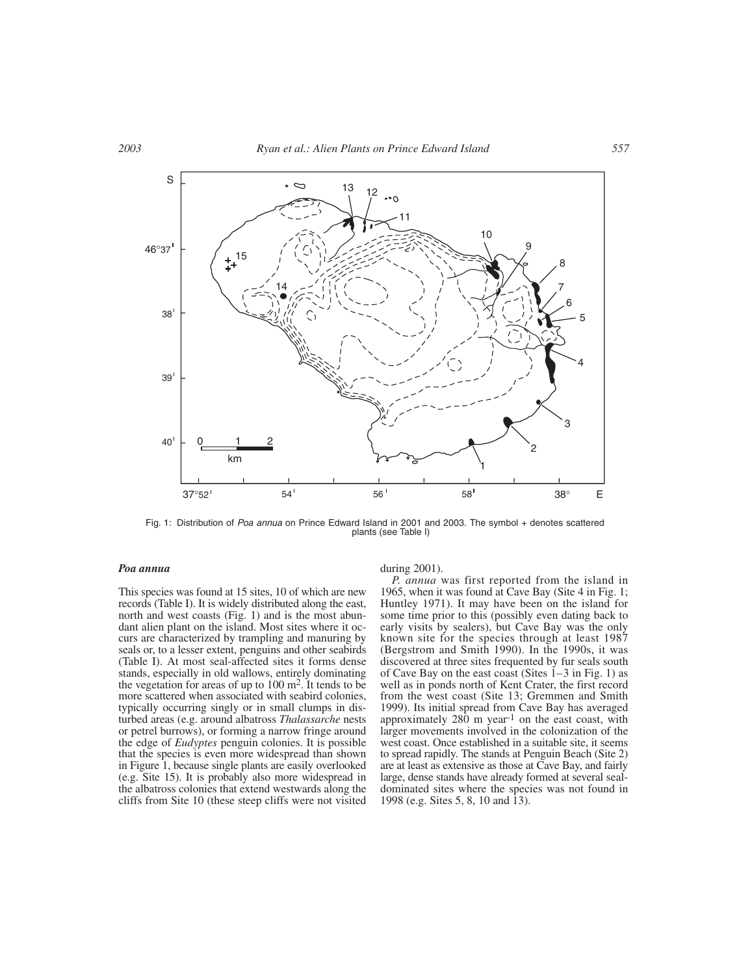

Fig. 1: Distribution of Poa annua on Prince Edward Island in 2001 and 2003. The symbol + denotes scattered plants (see Table I)

# *Poa annua*

This species was found at 15 sites, 10 of which are new records (Table I). It is widely distributed along the east, north and west coasts (Fig. 1) and is the most abundant alien plant on the island. Most sites where it occurs are characterized by trampling and manuring by seals or, to a lesser extent, penguins and other seabirds (Table I). At most seal-affected sites it forms dense stands, especially in old wallows, entirely dominating the vegetation for areas of up to  $100 \text{ m}^2$ . It tends to be more scattered when associated with seabird colonies, typically occurring singly or in small clumps in disturbed areas (e.g. around albatross *Thalassarche* nests or petrel burrows), or forming a narrow fringe around the edge of *Eudyptes* penguin colonies. It is possible that the species is even more widespread than shown in Figure 1, because single plants are easily overlooked (e.g. Site 15). It is probably also more widespread in the albatross colonies that extend westwards along the cliffs from Site 10 (these steep cliffs were not visited during 2001).

*P. annua* was first reported from the island in 1965, when it was found at Cave Bay (Site 4 in Fig. 1; Huntley 1971). It may have been on the island for some time prior to this (possibly even dating back to early visits by sealers), but Cave Bay was the only known site for the species through at least 1987 (Bergstrom and Smith 1990). In the 1990s, it was discovered at three sites frequented by fur seals south of Cave Bay on the east coast (Sites  $1-3$  in Fig. 1) as well as in ponds north of Kent Crater, the first record from the west coast (Site 13; Gremmen and Smith 1999). Its initial spread from Cave Bay has averaged approximately  $280 \text{ m year}^{-1}$  on the east coast, with larger movements involved in the colonization of the west coast. Once established in a suitable site, it seems to spread rapidly. The stands at Penguin Beach (Site 2) are at least as extensive as those at Cave Bay, and fairly large, dense stands have already formed at several sealdominated sites where the species was not found in 1998 (e.g. Sites 5, 8, 10 and 13).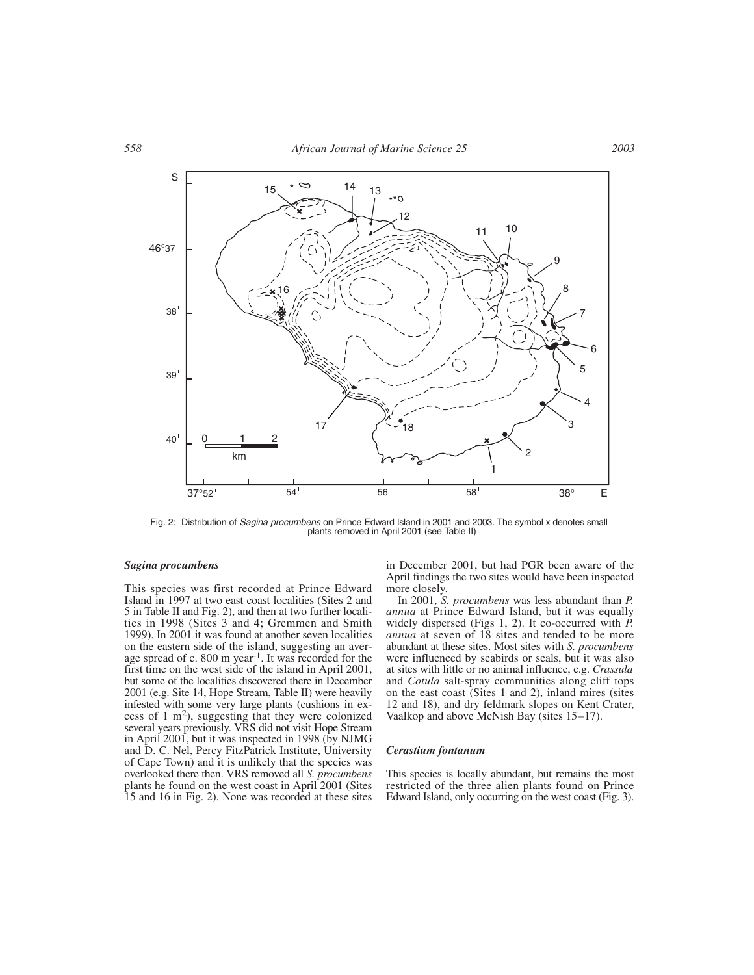

Fig. 2: Distribution of Sagina procumbens on Prince Edward Island in 2001 and 2003. The symbol x denotes small plants removed in April 2001 (see Table II)

#### *Sagina procumbens*

This species was first recorded at Prince Edward Island in 1997 at two east coast localities (Sites 2 and 5 in Table II and Fig. 2), and then at two further localities in 1998 (Sites 3 and 4; Gremmen and Smith 1999). In 2001 it was found at another seven localities on the eastern side of the island, suggesting an average spread of c. 800 m year-1. It was recorded for the first time on the west side of the island in April 2001, but some of the localities discovered there in December 2001 (e.g. Site 14, Hope Stream, Table II) were heavily infested with some very large plants (cushions in excess of 1 m2), suggesting that they were colonized several years previously. VRS did not visit Hope Stream in April 2001, but it was inspected in 1998 (by NJMG and D. C. Nel, Percy FitzPatrick Institute, University of Cape Town) and it is unlikely that the species was overlooked there then. VRS removed all *S. procumbens* plants he found on the west coast in April 2001 (Sites 15 and 16 in Fig. 2). None was recorded at these sites

in December 2001, but had PGR been aware of the April findings the two sites would have been inspected more closely.

In 2001, *S. procumbens* was less abundant than *P. annua* at Prince Edward Island, but it was equally widely dispersed (Figs 1, 2). It co-occurred with *P. annua* at seven of 18 sites and tended to be more abundant at these sites. Most sites with *S. procumbens* were influenced by seabirds or seals, but it was also at sites with little or no animal influence, e.g. *Crassula* and *Cotula* salt-spray communities along cliff tops on the east coast (Sites 1 and 2), inland mires (sites 12 and 18), and dry feldmark slopes on Kent Crater, Vaalkop and above McNish Bay (sites  $15-17$ ).

### *Cerastium fontanum*

This species is locally abundant, but remains the most restricted of the three alien plants found on Prince Edward Island, only occurring on the west coast (Fig. 3).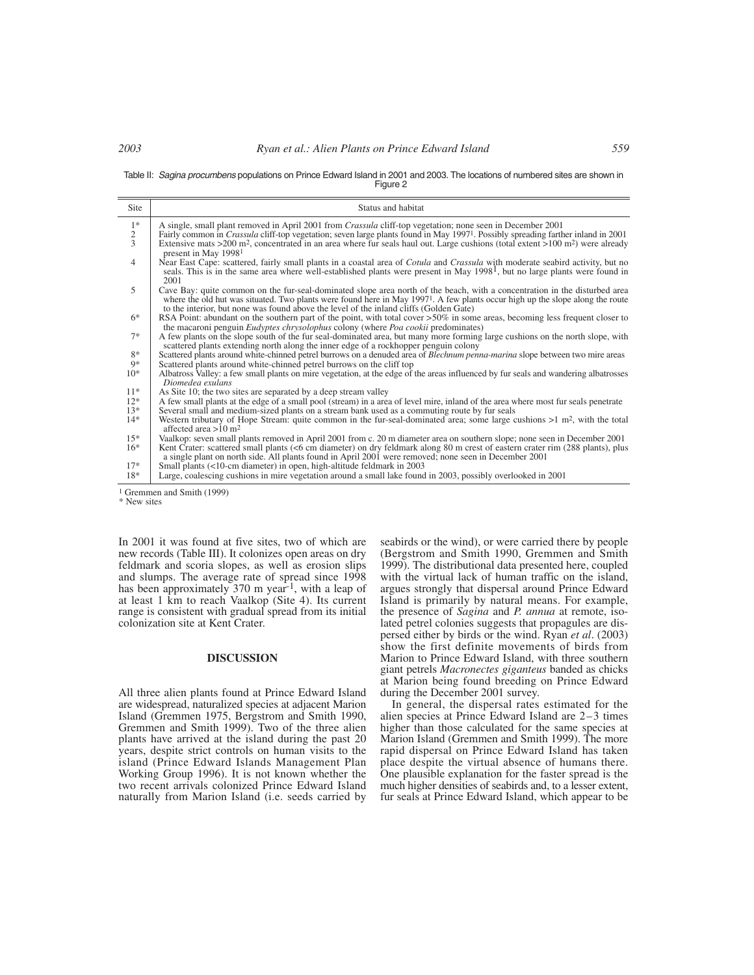## *2003 Ryan et al.: Alien Plants on Prince Edward Island 559*

Table II: Sagina procumbens populations on Prince Edward Island in 2001 and 2003. The locations of numbered sites are shown in Figure 2

| Site                                  | Status and habitat                                                                                                                                                                                                                                                                                                                                                                                                                                                      |
|---------------------------------------|-------------------------------------------------------------------------------------------------------------------------------------------------------------------------------------------------------------------------------------------------------------------------------------------------------------------------------------------------------------------------------------------------------------------------------------------------------------------------|
| $_2^{1*}$<br>$\overline{\mathcal{L}}$ | A single, small plant removed in April 2001 from <i>Crassula</i> cliff-top vegetation; none seen in December 2001<br>Fairly common in <i>Crassula</i> cliff-top vegetation; seven large plants found in May 1997 <sup>1</sup> . Possibly spreading farther inland in 2001<br>Extensive mats >200 m <sup>2</sup> , concentrated in an area where fur seals haul out. Large cushions (total extent >100 m <sup>2</sup> ) were already<br>present in May 1998 <sup>1</sup> |
| $\overline{4}$                        | Near East Cape: scattered, fairly small plants in a coastal area of <i>Cotula</i> and <i>Crassula</i> with moderate seabird activity, but no<br>seals. This is in the same area where well-established plants were present in May $19981$ , but no large plants were found in<br>2001                                                                                                                                                                                   |
| 5                                     | Cave Bay: quite common on the fur-seal-dominated slope area north of the beach, with a concentration in the disturbed area<br>where the old hut was situated. Two plants were found here in May 1997 <sup>1</sup> . A few plants occur high up the slope along the route<br>to the interior, but none was found above the level of the inland cliffs (Golden Gate)                                                                                                      |
| $6*$                                  | RSA Point: abundant on the southern part of the point, with total cover $>50\%$ in some areas, becoming less frequent closer to<br>the macaroni penguin <i>Eudyptes chrysolophus</i> colony (where <i>Poa cookii</i> predominates)                                                                                                                                                                                                                                      |
| $7*$                                  | A few plants on the slope south of the fur seal-dominated area, but many more forming large cushions on the north slope, with<br>scattered plants extending north along the inner edge of a rockhopper penguin colony                                                                                                                                                                                                                                                   |
| $8*$                                  | Scattered plants around white-chinned petrel burrows on a denuded area of Blechnum penna-marina slope between two mire areas                                                                                                                                                                                                                                                                                                                                            |
| 9*                                    | Scattered plants around white-chinned petrel burrows on the cliff top                                                                                                                                                                                                                                                                                                                                                                                                   |
| $10*$                                 | Albatross Valley: a few small plants on mire vegetation, at the edge of the areas influenced by fur seals and wandering albatrosses<br>Diomedea exulans                                                                                                                                                                                                                                                                                                                 |
| $11*$                                 | As Site 10; the two sites are separated by a deep stream valley                                                                                                                                                                                                                                                                                                                                                                                                         |
| $12*$                                 | A few small plants at the edge of a small pool (stream) in a area of level mire, inland of the area where most fur seals penetrate                                                                                                                                                                                                                                                                                                                                      |
| $13*$                                 | Several small and medium-sized plants on a stream bank used as a commuting route by fur seals                                                                                                                                                                                                                                                                                                                                                                           |
| $14*$                                 | Western tributary of Hope Stream: quite common in the fur-seal-dominated area; some large cushions $>1$ m <sup>2</sup> , with the total<br>affected area $>10$ m <sup>2</sup>                                                                                                                                                                                                                                                                                           |
| $15*$                                 | Vaalkop: seven small plants removed in April 2001 from c. 20 m diameter area on southern slope; none seen in December 2001                                                                                                                                                                                                                                                                                                                                              |
| $16*$                                 | Kent Crater: scattered small plants (<6 cm diameter) on dry feldmark along 80 m crest of eastern crater rim (288 plants), plus<br>a single plant on north side. All plants found in April 2001 were removed; none seen in December 2001                                                                                                                                                                                                                                 |
| $17*$                                 | Small plants (<10-cm diameter) in open, high-altitude feldmark in 2003                                                                                                                                                                                                                                                                                                                                                                                                  |
| $18*$                                 | Large, coalescing cushions in mire vegetation around a small lake found in 2003, possibly overlooked in 2001                                                                                                                                                                                                                                                                                                                                                            |

<sup>1</sup> Gremmen and Smith (1999)

\* New sites

In 2001 it was found at five sites, two of which are new records (Table III). It colonizes open areas on dry feldmark and scoria slopes, as well as erosion slips and slumps. The average rate of spread since 1998 has been approximately 370 m year-1, with a leap of at least 1 km to reach Vaalkop (Site 4). Its current range is consistent with gradual spread from its initial colonization site at Kent Crater.

## **DISCUSSION**

All three alien plants found at Prince Edward Island are widespread, naturalized species at adjacent Marion Island (Gremmen 1975, Bergstrom and Smith 1990, Gremmen and Smith 1999). Two of the three alien plants have arrived at the island during the past 20 years, despite strict controls on human visits to the island (Prince Edward Islands Management Plan Working Group 1996). It is not known whether the two recent arrivals colonized Prince Edward Island naturally from Marion Island (i.e. seeds carried by seabirds or the wind), or were carried there by people (Bergstrom and Smith 1990, Gremmen and Smith 1999). The distributional data presented here, coupled with the virtual lack of human traffic on the island, argues strongly that dispersal around Prince Edward Island is primarily by natural means. For example, the presence of *Sagina* and *P. annua* at remote, isolated petrel colonies suggests that propagules are dispersed either by birds or the wind. Ryan *et al*. (2003) show the first definite movements of birds from Marion to Prince Edward Island, with three southern giant petrels *Macronectes giganteus* banded as chicks at Marion being found breeding on Prince Edward during the December 2001 survey.

In general, the dispersal rates estimated for the alien species at Prince Edward Island are 2–3 times higher than those calculated for the same species at Marion Island (Gremmen and Smith 1999). The more rapid dispersal on Prince Edward Island has taken place despite the virtual absence of humans there. One plausible explanation for the faster spread is the much higher densities of seabirds and, to a lesser extent, fur seals at Prince Edward Island, which appear to be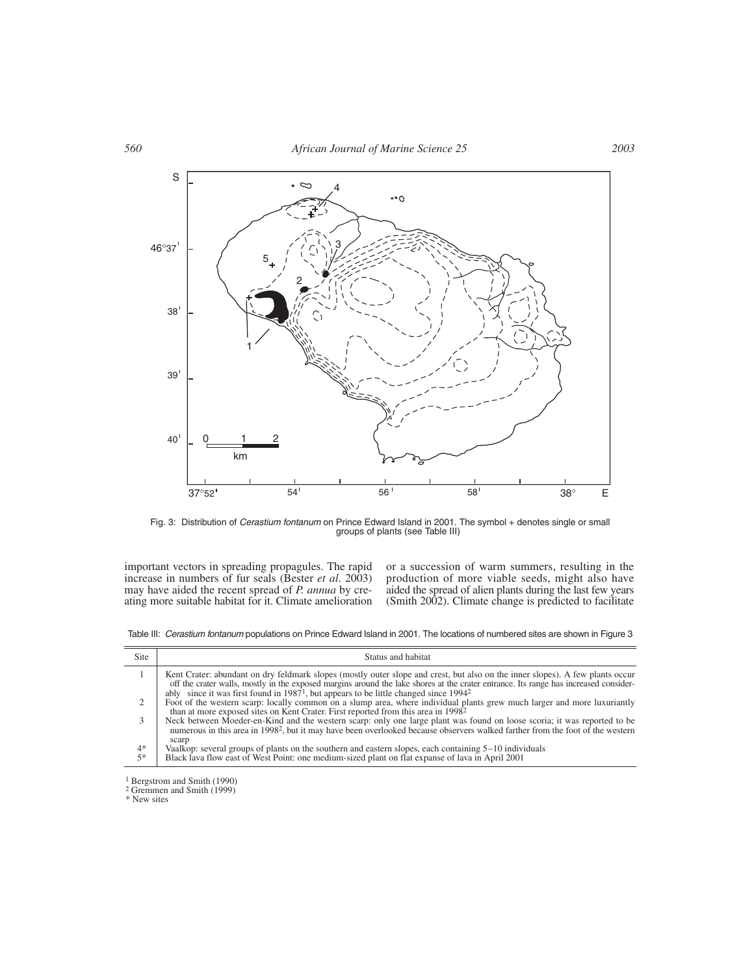

Fig. 3: Distribution of *Cerastium fontanum* on Prince Edward Island in 2001. The symbol + denotes single or small<br>groups of plants (see Table III)

important vectors in spreading propagules. The rapid increase in numbers of fur seals (Bester *et al*. 2003) may have aided the recent spread of *P. annua* by creating more suitable habitat for it. Climate amelioration or a succession of warm summers, resulting in the production of more viable seeds, might also have aided the spread of alien plants during the last few years (Smith 2002). Climate change is predicted to facilitate

Table III: Cerastium fontanum populations on Prince Edward Island in 2001. The locations of numbered sites are shown in Figure 3

| <b>Site</b>  | Status and habitat                                                                                                                                                                                                                                                                                                                                                 |
|--------------|--------------------------------------------------------------------------------------------------------------------------------------------------------------------------------------------------------------------------------------------------------------------------------------------------------------------------------------------------------------------|
|              | Kent Crater: abundant on dry feldmark slopes (mostly outer slope and crest, but also on the inner slopes). A few plants occur<br>off the crater walls, mostly in the exposed margins around the lake shores at the crater entrance. Its range has increased consider-<br>ably since it was first found in $19871$ , but appears to be little changed since $19942$ |
| 2            | Foot of the western scarp: locally common on a slump area, where individual plants grew much larger and more luxuriantly<br>than at more exposed sites on Kent Crater. First reported from this area in 1998 <sup>2</sup>                                                                                                                                          |
|              | Neck between Moeder-en-Kind and the western scarp: only one large plant was found on loose scoria; it was reported to be<br>numerous in this area in 1998 <sup>2</sup> , but it may have been overlooked because observers walked farther from the foot of the western<br>scarp                                                                                    |
| $4*$<br>$5*$ | Vaalkop: several groups of plants on the southern and eastern slopes, each containing $5-10$ individuals<br>Black lava flow east of West Point: one medium-sized plant on flat expanse of lava in April 2001                                                                                                                                                       |
|              |                                                                                                                                                                                                                                                                                                                                                                    |

1 Bergstrom and Smith (1990)

2 Gremmen and Smith (1999)

\* New sites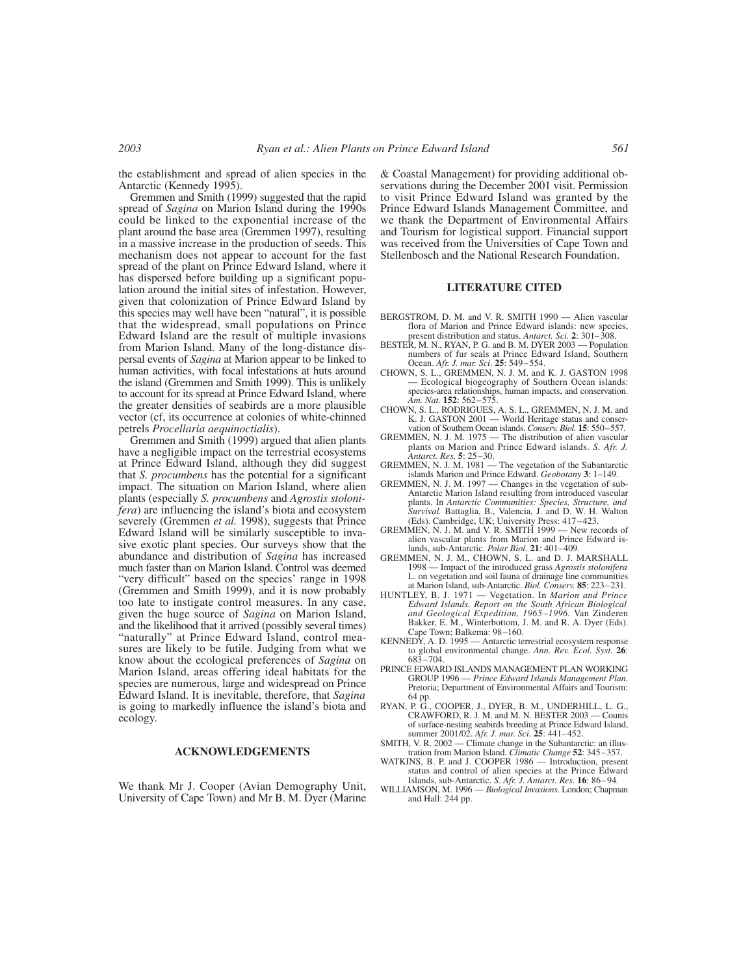the establishment and spread of alien species in the Antarctic (Kennedy 1995).

Gremmen and Smith (1999) suggested that the rapid spread of *Sagina* on Marion Island during the 1990s could be linked to the exponential increase of the plant around the base area (Gremmen 1997), resulting in a massive increase in the production of seeds. This mechanism does not appear to account for the fast spread of the plant on Prince Edward Island, where it has dispersed before building up a significant population around the initial sites of infestation. However, given that colonization of Prince Edward Island by this species may well have been "natural", it is possible that the widespread, small populations on Prince Edward Island are the result of multiple invasions from Marion Island. Many of the long-distance dispersal events of *Sagina* at Marion appear to be linked to human activities, with focal infestations at huts around the island (Gremmen and Smith 1999). This is unlikely to account for its spread at Prince Edward Island, where the greater densities of seabirds are a more plausible vector (cf, its occurrence at colonies of white-chinned petrels *Procellaria aequinoctialis*).

Gremmen and Smith (1999) argued that alien plants have a negligible impact on the terrestrial ecosystems at Prince Edward Island, although they did suggest that *S. procumbens* has the potential for a significant impact. The situation on Marion Island, where alien plants (especially *S. procumbens* and *Agrostis stolonifera*) are influencing the island's biota and ecosystem severely (Gremmen *et al.* 1998), suggests that Prince Edward Island will be similarly susceptible to invasive exotic plant species. Our surveys show that the abundance and distribution of *Sagina* has increased much faster than on Marion Island. Control was deemed "very difficult" based on the species' range in 1998 (Gremmen and Smith 1999), and it is now probably too late to instigate control measures. In any case, given the huge source of *Sagina* on Marion Island, and the likelihood that it arrived (possibly several times) "naturally" at Prince Edward Island, control measures are likely to be futile. Judging from what we know about the ecological preferences of *Sagina* on Marion Island, areas offering ideal habitats for the species are numerous, large and widespread on Prince Edward Island. It is inevitable, therefore, that *Sagina* is going to markedly influence the island's biota and ecology.

## **ACKNOWLEDGEMENTS**

We thank Mr J. Cooper (Avian Demography Unit, University of Cape Town) and Mr B. M. Dyer (Marine & Coastal Management) for providing additional observations during the December 2001 visit. Permission to visit Prince Edward Island was granted by the Prince Edward Islands Management Committee, and we thank the Department of Environmental Affairs and Tourism for logistical support. Financial support was received from the Universities of Cape Town and Stellenbosch and the National Research Foundation.

### **LITERATURE CITED**

- BERGSTROM, D. M. and V. R. SMITH 1990 Alien vascular flora of Marion and Prince Edward islands: new species, present distribution and status. *Antarct. Sci.* **2**: 301–308.
- BESTER, M. N., RYAN, P. G. and B. M. DYER 2003 Population numbers of fur seals at Prince Edward Island, Southern Ocean. *Afr. J. mar. Sci*. **25**: 549–554.
- CHOWN, S. L., GREMMEN, N. J. M. and K. J. GASTON 1998 — Ecological biogeography of Southern Ocean islands: species-area relationships, human impacts, and conservation. *Am. Nat.* **152**: 562–575.
- CHOWN, S. L., RODRIGUES, A. S. L., GREMMEN, N. J. M. and K. J. GASTON 2001 — World Heritage status and conservation of Southern Ocean islands. *Conserv. Biol.* **15**: 550–557.
- GREMMEN, N. J. M. 1975 The distribution of alien vascular plants on Marion and Prince Edward islands. *S. Afr. J. Antarct. Res.* **5**: 25–30.
- GREMMEN, N. J. M. 1981 The vegetation of the Subantarctic islands Marion and Prince Edward. *Geobotany* **3**: 1–149.
- GREMMEN, N. J. M. 1997 Changes in the vegetation of sub-Antarctic Marion Island resulting from introduced vascular plants. In *Antarctic Communities: Species, Structure, and Survival.* Battaglia, B., Valencia, J. and D. W. H. Walton
- (Eds). Cambridge, UK; University Press: 417–423. GREMMEN, N. J. M. and V. R. SMITH 1999 New records of alien vascular plants from Marion and Prince Edward islands, sub-Antarctic. *Polar Biol*. **21**: 401–409.
- GREMMEN, N. J. M., CHOWN, S. L. and D. J. MARSHALL 1998 — Impact of the introduced grass *Agrostis stolonifera* L. on vegetation and soil fauna of drainage line communities at Marion Island, sub-Antarctic. *Biol. Conserv.* **85**: 223–231.
- HUNTLEY, B. J. 1971 Vegetation. In *Marion and Prince Edward Islands. Report on the South African Biological and Geological Expedition, 1965–1996.* Van Zinderen Bakker, E. M., Winterbottom, J. M. and R. A. Dyer (Eds). Cape Town; Balkema: 98–160. KENNEDY, A. D. 1995 — Antarctic terrestrial ecosystem response
- to global environmental change. *Ann. Rev. Ecol. Syst.* **26**: 683–704.
- PRINCE EDWARD ISLANDS MANAGEMENT PLAN WORKING GROUP 1996 — *Prince Edward Islands Management Plan*. Pretoria; Department of Environmental Affairs and Tourism:
- 64 pp. RYAN, P. G., COOPER, J., DYER, B. M., UNDERHILL, L. G., CRAWFORD, R. J. M. and M. N. BESTER 2003 — Counts of surface-nesting seabirds breeding at Prince Edward Island, summer 2001/02. *Afr. J. mar. Sci*. **25**: 441–452.
- SMITH, V. R. 2002 Climate change in the Subantarctic: an illustration from Marion Island. *Climatic Change* **52**: 345–357.
- WATKINS, B. P. and J. COOPER 1986 Introduction, present status and control of alien species at the Prince Edward Islands, sub-Antarctic. *S. Afr. J. Antarct. Res.* **16**: 86–94.
- WILLIAMSON, M. 1996 *Biological Invasions*. London; Chapman and Hall: 244 pp.